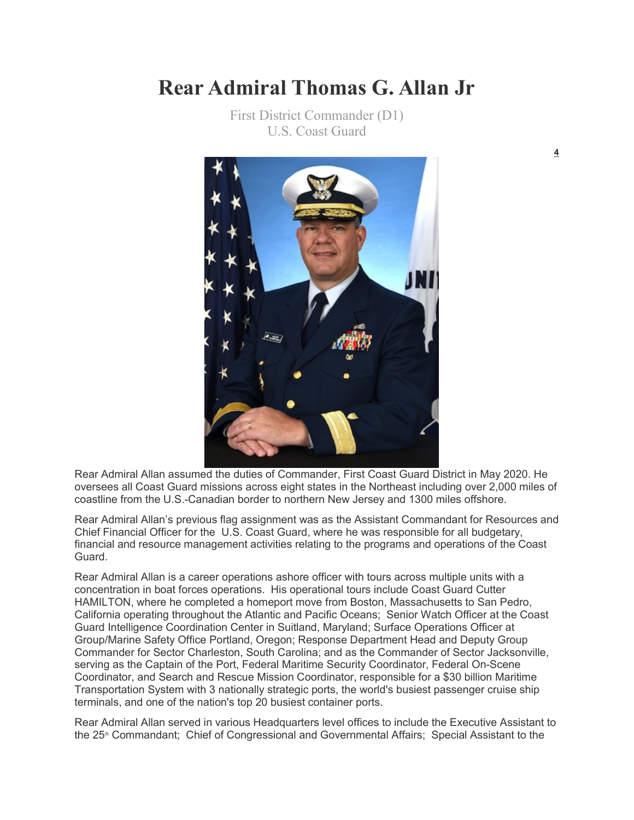## **Rear Admiral Thomas G. Allan Jr**

First District Commander (D1) U.S. Coast Guard



Rear Admiral Allan assumed the duties of Commander, First Coast Guard District in May 2020. He oversees all Coast Guard missions across eight states in the Northeast including over 2,000 miles of coastline from the U.S.-Canadian border to northern New Jersey and 1300 miles offshore.

Rear Admiral Allan's previous flag assignment was as the Assistant Commandant for Resources and Chief Financial Officer for the U.S. Coast Guard, where he was responsible for all budgetary, financial and resource management activities relating to the programs and operations of the Coast Guard.

Rear Admiral Allan is a career operations ashore officer with tours across multiple units with a concentration in boat forces operations. His operational tours include Coast Guard Cutter HAMILTON, where he completed a homeport move from Boston, Massachusetts to San Pedro, California operating throughout the Atlantic and Pacific Oceans; Senior Watch Officer at the Coast Guard Intelligence Coordination Center in Suitland, Maryland; Surface Operations Officer at Group/Marine Safety Office Portland, Oregon; Response Department Head and Deputy Group Commander for Sector Charleston, South Carolina; and as the Commander of Sector Jacksonville, serving as the Captain of the Port, Federal Maritime Security Coordinator, Federal On-Scene Coordinator, and Search and Rescue Mission Coordinator, responsible for a \$30 billion Maritime Transportation System with 3 nationally strategic ports, the world's busiest passenger cruise ship terminals, and one of the nation's top 20 busiest container ports.

Rear Admiral Allan served in various Headquarters level offices to include the Executive Assistant to the 25<sup>th</sup> Commandant; Chief of Congressional and Governmental Affairs; Special Assistant to the